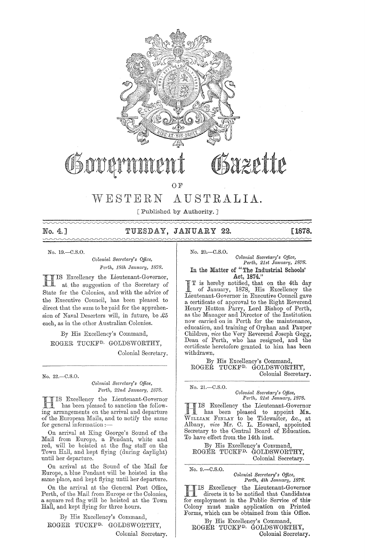

# heette

OF

# WESTERN AUSTRALIA.

[Published by Authority. J

 $\sim\sim\sim$ 

No. 4.] TUESDAY, JANUARY 22. [1878.

No. 19.-C.S.O.

*Colonial Secretary's Office, Perth, 18th Jamta1'Y, 1878.* 

IS Excellency the Lieutenant-Governor, at the suggestion of the Secretary of State for the Colonies, and with the advice of the Executive Council, has been pleased to direct that the sum to be paid for the apprehension of Naval Deserters will, in future, be  $\pounds 5$ each, as in the other Australian Colonies.

By His Excellency's Command, ROGER TUCKFD. GOLDSWORTHY,

Colonial Secretary.

No. 22.-C.S.O.

*Oolonial Secl'etarl'Y's Office,*  Perth, 22nd January, 1878.

IS Excellency the Lieutenant-Governor<br>has been pleased to sanction the following<br>arrangements on the arrival and departure IS Excellency the Lieutenant-Governor has been pleased to sanction the followof the European Mails, and to notify the same for general information :-

On arrival at King George's Sound of the Mail from Europe, a Pendant, white and red, will be hoisted at the flag staff on the Town Hall, and kept flying (during daylight) until her departure.

On arrival at the Sound of the Mail for Europe, a blue Pendant will be hoisted in the same place, and kept flying until her departure.

On the arrival at the General Post Office, Perth, of the Mail from Europe or the Colonies, a square red flag will be hoisted at the 'fown Hall, and kept flying for three hours.

By His Excellency's Command, ROGER TUCKFD. GOLDSWORTHY, Colonial Secretary. No. 20.-C.S.O.

 $Colonial$  Secretary's Office, Perth, 21st January, 1878. In the Matter of "The Industrial Schools'

Act, 1874."<br>T is hereby notified, that on the 4th day

I T is hereby notified, that on the 4th day of January, 1878, His Excellency the Lieutenant-Governor in Executive Council gave a certificate of approval to the Right Reverend Henry Hutton Parry, Lord Bishop of Perth, as the Manager and Director of the Institution now carried on in Perth for the maintenance, education, and training of Orphan and Pauper Children, *vice* the Very Reverend Joseph Gegg, Dean of Perth, who has resigned, and the certificate heretofore granted to him has been withdrawn,

By His Excellency's Command, ROGER TUCKFD. GOLDSWORTHY, Colonial Secretary.

No. 21.-C.S.O.

 $Colonial$  Secretary's Office, *Perth, 21st January, 1878.* 

11 is excenency the memeriant-covernor<br>
11 has been pleased to appoint MR. IS Excellency the Lieutenant-Governor WILLIAM FINLAY to be Tidewaiter, &c., at Albany, *vice* Mr. C. L. Howard, appointed Secretary to the Central Board of Education. To have effect from. the 14th inst.

By His Excellency's Command, ROGER TUCKFD. GOLDSWORTHY, Colonial Secretary;

No. 9.-C.S.O. *Colonial Secretary's Office, Perth, 4th January, 1878. Perth, 4th Jam!a1", 1878:* 

H IS Excellency the Lieutenant-Governor directs it to be notified that Candidates **following** directs it to be notified that Candidates for employment in the Public Service of this Colony must make application on Printed Forms, which can be obtained from this Office.

By His Excellency's Command, ROGER TUCKFD. GOIJDSWORTHY, Colonial Secretary.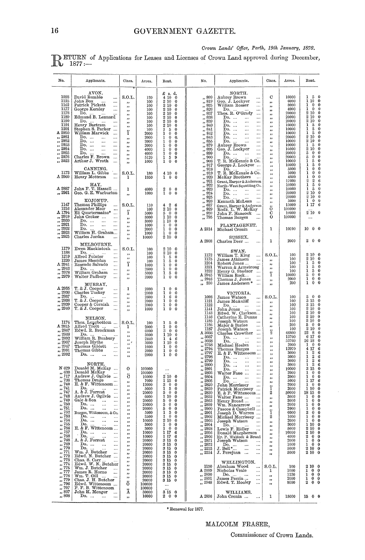### Crown Lands' Office, Perth, 19th January, 1878.

**DETURN** of Applications for Leases and Licenses of Crown Land approved during December, 1877:-

| No.                                                                                                                                                                                                                                 | Applicants.                                                                                                                                                                                                                                                                                                                                                                                                                                                                                                                                                                   | Class.                                                                                                                                                                                         | Acres.                                                                                                                                                                                                 | Rent.                                                                                                                                                                                                                                                                                                                          | No.                                                                                                                                                                                                                                                                                                                                                                                                                                                                                                              | Applicants.                                                                                                                                                                                                                                                                                                                                                                                                                                                                                                                                                                                                                                                                                     | Class.                                                                                                                                                                        | Acres.                                                                                                                                                                                          | Rent.                                                                                                                                                                                                                                                                                                                                                                                                                                                                                                                                 |
|-------------------------------------------------------------------------------------------------------------------------------------------------------------------------------------------------------------------------------------|-------------------------------------------------------------------------------------------------------------------------------------------------------------------------------------------------------------------------------------------------------------------------------------------------------------------------------------------------------------------------------------------------------------------------------------------------------------------------------------------------------------------------------------------------------------------------------|------------------------------------------------------------------------------------------------------------------------------------------------------------------------------------------------|--------------------------------------------------------------------------------------------------------------------------------------------------------------------------------------------------------|--------------------------------------------------------------------------------------------------------------------------------------------------------------------------------------------------------------------------------------------------------------------------------------------------------------------------------|------------------------------------------------------------------------------------------------------------------------------------------------------------------------------------------------------------------------------------------------------------------------------------------------------------------------------------------------------------------------------------------------------------------------------------------------------------------------------------------------------------------|-------------------------------------------------------------------------------------------------------------------------------------------------------------------------------------------------------------------------------------------------------------------------------------------------------------------------------------------------------------------------------------------------------------------------------------------------------------------------------------------------------------------------------------------------------------------------------------------------------------------------------------------------------------------------------------------------|-------------------------------------------------------------------------------------------------------------------------------------------------------------------------------|-------------------------------------------------------------------------------------------------------------------------------------------------------------------------------------------------|---------------------------------------------------------------------------------------------------------------------------------------------------------------------------------------------------------------------------------------------------------------------------------------------------------------------------------------------------------------------------------------------------------------------------------------------------------------------------------------------------------------------------------------|
| 1088<br>1125<br>1162<br>1177<br>1178<br>1189<br>1190<br>1191<br>1201<br>A 2950<br>,, 2951<br>$\frac{1}{2952}$<br>$\frac{7}{12}$ , $\frac{2953}{12}$<br>$, \overline{2954}$<br>$, \overline{2955}$<br>,, 2976<br>$\frac{1}{10}$ 3023 | AVON.<br>David Rumble<br>$\cdots$<br>John Box<br>$\cdots$<br>Patrick Pickett<br>$\cdots$<br>George Kersley<br>$\ldots$<br>Do.<br>Edmund B. Lennard<br>Do. $\ldots$ $\ldots$<br>$\ddotsc$<br>Henry Bartram<br>$\ddotsc$<br>Stephen S. Parker<br>William Marwick<br>Do.<br>$\sim$ $\sim$<br>$\ldots$<br>Do.<br>$\ldots$<br>$\ldots$<br>Do.<br>$\ldots$<br><br>Do.<br>$\cdots$<br>$\cdots$<br>Do.<br>Charles F. Brown<br>Arthur J. Wroth                                                                                                                                         | S.O.L.<br>$\cdots$<br>,,<br>,,<br>,,<br>$^{\prime\prime}$<br>,,<br>,,<br>ï<br>$^{\prime \prime}$<br>,,<br>$\bullet\bullet$<br>,,<br>$\pmb{\cdot}$<br>$\pmb{\cdots}$<br>$\overline{\mathbf{r}}$ | 120<br>100<br>100<br>100<br>100<br>100<br>100<br>100<br>100<br>2000<br>2000<br>2000<br>2000<br>4000<br>4000<br>5120<br>1000                                                                            | £ s. d.<br>4100<br>2 10 0<br>2100<br>2100<br>2100<br>2100<br>2100<br>2 10 0<br>150<br>$1 \quad 0 \quad 0$<br>$1 \t0 \t0.$<br>$1\quad 0$<br>$\bf{0}$<br>$1\quad 0\quad 0$<br>$1 \t0 \t0$<br>$1\quad0\quad0$<br>159<br>100                                                                                                       | ,, 809<br>,, 819<br>$\frac{7}{10}$ 825<br>, 826<br>, 837<br>, 838<br>, 839<br>, 840<br>, 841<br>, 842<br>, 843<br>, 855<br>, 879<br>,, 895<br>,, 899<br>$\frac{1}{100}$ 900<br>$\frac{1}{20}$ , 908<br>, 917                                                                                                                                                                                                                                                                                                     | NORTH.<br>Aubrey Brown<br>Geo. J. Lockyer<br>$\cdots$<br><br>William Rosser<br>$\cdots$<br>Do. $\ldots$<br>Thos. R. O'Grady<br>$\ldots$<br>$\cdots$<br>$\mathbf{D_0}$<br>$\cdots$<br>$\cdots$<br>Do. $\dots$<br>$\cdots$<br>$\ddotsc$<br>$\mathbf{D_0}$ ,<br>$\ldots$<br>Do. $\cdots$<br>$\cdots$<br>Do.<br>$\cdots$<br>Do.<br>$\ldots$<br>Do. $\cdots$<br>$\cdots$<br>Aubrey Brown<br>Geo. J. Lockyer<br>$\ldots$<br>$\ldots$<br>Do. $\dots$ $\dots$<br>$\cdots$<br>Do. $\cdots$<br>T. R. McKenzie & Co.<br>George J. Lockyer                                                                                                                                                                  | C<br>$\pmb{\cdots}$<br>$, \,$<br>$\overline{\mathbf{r}}$<br>,<br>$, \,$<br>,,<br>$^{\bullet}$<br>,,<br>$^{\prime\prime}$<br>,,<br>$\pmb{\cdot}$<br>٠,<br>,,<br>,,<br>,,<br>,, | 10000<br>6000<br>8000<br>4000<br>20000<br>20000<br>20000<br>10000<br>10000<br>10000<br>20000<br>10000<br>10000<br>10000<br>20000<br>20000<br>10000<br>10000                                     | 150<br>110<br>$\mathbf 0$<br>1<br>$\bf{0}$<br>$\bf{0}$<br>ı<br>$\mathbf 0$<br>$\bf{0}$<br>210<br>$\bf{0}$<br>2 10<br>$\bf{0}$<br>$2\ 10$<br>$\bf{0}$<br>ı<br>-5<br>0<br>1<br>5<br>0<br>1<br>-5<br>0<br>2 10<br>0<br>2 10<br>$\bf{0}$<br>1<br>-5<br>0<br>2 10<br>$\bf{0}$<br>$\theta$<br>5<br>0<br>5<br>$\mathbf 0$<br>0<br>1<br>5<br>$\bf{0}$<br>$\mathbf 1$<br>5<br>$\bf{0}$                                                                                                                                                         |
| 1173<br>A 2960                                                                                                                                                                                                                      | CANNING.<br>William L. Gibbs<br>Henry Mottram<br>$\sim$                                                                                                                                                                                                                                                                                                                                                                                                                                                                                                                       | S.O.L.<br>1                                                                                                                                                                                    | 180<br>1950                                                                                                                                                                                            | 4100<br>$1 \quad 0 \quad 0$                                                                                                                                                                                                                                                                                                    | $\ldots$ $918$<br>$\ldots$ 919<br>, 920<br>$\frac{3}{20}$ , 921                                                                                                                                                                                                                                                                                                                                                                                                                                                  | Do.<br>T. R. McKenzie & Co.<br>McKay Brothers<br>$\sim$<br>Grant, Harper & Anderson                                                                                                                                                                                                                                                                                                                                                                                                                                                                                                                                                                                                             | $\pmb{\cdot}$<br>,,<br>$\pmb{\cdots}$<br>$^{\prime}$<br>,,                                                                                                                    | 5000<br>5000<br>4800<br>17000                                                                                                                                                                   | 1<br>$\bf{0}$<br>$\bf{0}$<br>1<br>$\mathbf{0}$<br>0<br>1<br>$\mathbf{0}$<br>0<br>$\overline{2}$<br>$\boldsymbol{2}$<br>6                                                                                                                                                                                                                                                                                                                                                                                                              |
| A 2887<br>,, 2961                                                                                                                                                                                                                   | HAY.<br>John F. T. Hassell<br>Geo. G. E. Warburton                                                                                                                                                                                                                                                                                                                                                                                                                                                                                                                            | 1<br>,,                                                                                                                                                                                        | 4000<br>1000                                                                                                                                                                                           | $2\quad 0\quad 0$<br>$1 \t0 \t0$                                                                                                                                                                                                                                                                                               | , 922<br>$\frac{2}{3}$ , 923<br>, 924<br>$\frac{7}{10}$ $\frac{6}{25}$                                                                                                                                                                                                                                                                                                                                                                                                                                           | North-West Squatting Co.<br>Do.<br>$\begin{array}{ccc}\n\text{Do.} & \dots & \dots & \dots \\ \text{Do.} & \dots & \dots & \dots\n\end{array}$                                                                                                                                                                                                                                                                                                                                                                                                                                                                                                                                                  | ,,<br>,,<br>,,<br>,,                                                                                                                                                          | 10000<br>10000<br>20000<br>20000                                                                                                                                                                | 1<br>$\overline{5}$<br>$\Omega$<br>1<br>5<br>0<br>2 10<br>$\bf{0}$<br>2100                                                                                                                                                                                                                                                                                                                                                                                                                                                            |
| 1147<br>1216<br>A 1794<br>,, 2919<br>$\frac{3}{2920}$<br>$\frac{7}{10}$ , 2921                                                                                                                                                      | KOJONUP.<br>Thomas Phillips<br>$\cdots$<br>Alexander Moir<br>$\cdots$<br>Eli Quartermaine*<br>$\sim$ $\sim$<br>John Croker<br>$\cdots$<br>Do.<br>$\ddotsc$                                                                                                                                                                                                                                                                                                                                                                                                                    | S.O.L.<br>ï<br>,,<br>,,                                                                                                                                                                        | 110<br>100<br>5000<br>3000<br>3000                                                                                                                                                                     | $4\quad 2\quad 6$<br>2100<br>500<br>1100<br>1100                                                                                                                                                                                                                                                                               | $\therefore$ 926<br>$\frac{1}{2}$ , 627<br>, 929<br>$\frac{7}{22}$ $\frac{930}{22}$<br>, 795                                                                                                                                                                                                                                                                                                                                                                                                                     | Kenneth McLean<br>Grant, Harper & Anderson<br>Rodk. L. W. McKay<br>John F. Hancock<br>Thomas Burges<br>$\ddotsc$                                                                                                                                                                                                                                                                                                                                                                                                                                                                                                                                                                                | ,,<br>ő<br>с<br>0                                                                                                                                                             | 5000<br>15000<br>100000<br>10000<br>100000                                                                                                                                                      | 10<br>$\bf{0}$<br>$1\,17$<br>-6<br>2100                                                                                                                                                                                                                                                                                                                                                                                                                                                                                               |
| $, \overline{2922}$<br>, 2923<br>, 2925                                                                                                                                                                                             | Do.<br>$\ddotsc$<br>$\cdots$<br>Do.<br>William H. Graham<br>Charles Jordan<br>$\ldots$                                                                                                                                                                                                                                                                                                                                                                                                                                                                                        | ,,<br>$^{\bullet}$<br>$, \,$<br>,,                                                                                                                                                             | 1000<br>2000<br>1000<br>10000                                                                                                                                                                          | 100<br>$1 \t0 \t0$<br>$1 \t0 \t0$<br>2 10 0                                                                                                                                                                                                                                                                                    | A 2314                                                                                                                                                                                                                                                                                                                                                                                                                                                                                                           | PLANTAGENET.<br>Michael Cronin<br>$\ddotsc$<br>SUSSEX.                                                                                                                                                                                                                                                                                                                                                                                                                                                                                                                                                                                                                                          | ı                                                                                                                                                                             | 10000                                                                                                                                                                                           | 1000                                                                                                                                                                                                                                                                                                                                                                                                                                                                                                                                  |
| 1179<br>1188<br>1219<br>1220<br>A 2941<br>$\frac{2943}{12978}$<br>$\frac{25}{10}$ 2979                                                                                                                                              | MELBOURNE.<br>Ewen Mackintosh<br>Do. $\dots$<br>$\overline{\phantom{a}}$<br>$\cdots$<br>Alfred Pointer<br>$\ddotsc$<br>James Sheridan<br>$\cdots$<br>Rosendo Salvado<br>$\cdots$<br>Do.<br>William Graham<br>$\cdots$<br>$\cdots$<br>Walter Padbury<br>$\ldots$                                                                                                                                                                                                                                                                                                               | S.O.L.<br>$\mathbf{y}$<br>$\mathbf{r}$<br>ï<br>,,<br>$, \,$<br>$\bullet$                                                                                                                       | 100<br>100<br>100<br>100<br>1000<br>2600<br>5000<br>2000                                                                                                                                               | 2100<br>$2\,10$<br>$\theta$<br>1 <sub>5</sub><br>0<br>$1\quad5$<br>0<br>$1\quad 0$<br>$\bf{0}$<br>$1 \quad 0$<br>$\bf{0}$<br>15<br>$\bf{0}$<br>$\mathbf{1}$<br>$\bf{0}$<br>$\bf{0}$                                                                                                                                            | A 2908<br>1172<br>1175<br>1204<br>1221<br>1222<br>A 2945<br>,, 2946                                                                                                                                                                                                                                                                                                                                                                                                                                              | Charles Deer<br>$\cdots$<br>SWAN.<br>William T. King<br>$\ldots$<br>James Atkinson<br>$\ldots$<br>Robert Jones<br>Warren & Armstrong<br>Henry G. Studsor<br>William Rock<br>$\sim$<br>Thomas J. Jones                                                                                                                                                                                                                                                                                                                                                                                                                                                                                           | 1<br>S.O.L.<br>$\mathbf{y}$<br>$\mathbf{r}$<br>,,<br>ï                                                                                                                        | 2000<br>100<br>100<br>100<br>100<br>100<br>10000<br>2000                                                                                                                                        | $^{2}$<br>0 <sub>0</sub><br>2 10 0<br>2100<br>ı<br>5<br>$\bf{0}$<br>1<br>5<br>$\bf{0}$<br>ı<br>5<br>$\bf{0}$<br>$\bf{0}$<br>5<br>$\theta$<br>1<br>$0\quad 0$                                                                                                                                                                                                                                                                                                                                                                          |
| A 2935<br>,, 2936<br>$\frac{1}{2}$ , 2937<br>$\frac{7}{10}$ , 2939<br>,, 2940                                                                                                                                                       | MURRAY.<br>T. & J. Cooper<br>$\cdots$<br>Charles Tuckey<br>$\ldots$<br>$\begin{array}{c} \text{Do.} & \dots & \dots \\ \text{T. & D. Cooper} & \end{array}$<br>$\ldots$<br>$\cdots$<br>Cooper & Cornish<br>T. & J. Cooper<br>$\ddotsc$                                                                                                                                                                                                                                                                                                                                        | 1<br>33<br>,,<br>,,<br>,,<br>$\overline{\mathbf{z}}$                                                                                                                                           | 2000<br>2000<br>2600<br>2000<br>2000<br>1000                                                                                                                                                           | $\mathbf{0}$<br>$\mathbf{1}$<br>0<br>$\mathbf{1}$<br>$\mathbf{0}$<br>$\bf{0}$<br>$1\quad 6$<br>$\bf{0}$<br>$1\quad 0$<br>0<br>$1\quad 0$<br>0<br>$\mathbf{1}$<br>$\mathbf{0}$<br>$\bf{0}$                                                                                                                                      | $\frac{7}{11}$ 230<br>1098<br>1121<br>1122<br>1141<br>1143                                                                                                                                                                                                                                                                                                                                                                                                                                                       | $\ldots$<br>James Anderson*<br>$\ddotsc$<br>VICTORIA.<br>James Watson<br>$\cdots$<br>James McAuliff<br>$\ddotsc$<br>$\begin{array}{lll} \text{Do.} & \dots & \dots \\ \text{John Jones} & \dots \end{array}$<br>$\cdots$<br>$\ddotsc$<br>Edwd. W. Clarkson                                                                                                                                                                                                                                                                                                                                                                                                                                      | $\mathbf{r}$<br>$\bullet$<br>S.O.L.<br>,,<br>,,<br>,,                                                                                                                         | 200<br>100<br>100<br>100<br>100<br>100                                                                                                                                                          | $\mathbf{0}$<br>1<br>$\bf{0}$<br>5<br>$0\quad 0$<br>3 15 0<br>3 15 0<br>2100<br>2100                                                                                                                                                                                                                                                                                                                                                                                                                                                  |
| 1174<br>A 2815<br>,, 2867<br>,, 2868<br>, 2892<br>,, 2907<br>,, 2947<br>,, 2991<br>,, 2992                                                                                                                                          | NELSON.<br>Thos. Longbottom  S.O.L.<br>Alfred Trott   1<br>Edwd. R. Brockman<br>Joseph Blythe<br>Thomas Giblett<br>$\ldots$<br>Thomas Gibbs<br>Do.<br>$\cdots$                                                                                                                                                                                                                                                                                                                                                                                                                | $\mathbf{r}$<br>$\pmb{\cdot}$<br>$\frac{1}{12}$<br>$\cdots$<br>$\bullet \bullet$<br>,,                                                                                                         | 100<br>2000<br>6000<br>3000<br>2440<br>3000<br>1000<br>2000<br>2000                                                                                                                                    | 1<br>50<br>$\mathbf{I}$<br>$\mathbf{0}$<br>$\bf{0}$<br>300<br>1 10 0<br>146<br>1100<br>$1\quad 0$<br>$\mathbf{0}$<br>$\bf{0}$<br>$1 \quad 0$<br>$1\quad0\quad0$                                                                                                                                                                | 1146<br>1185<br>1186<br>1187<br>A 3036<br>,, 3037<br>, 3038<br>, 2758<br>$\frac{1}{2794}$<br>$\frac{2797}{2797}$<br>,, 2798                                                                                                                                                                                                                                                                                                                                                                                      | Catherine E. Dunne<br>Joseph Watson<br>Major & Barlee<br>Joseph Watson<br>$\ddotsc$<br>$\cdots$<br>$\cdots$<br>Charles Crowther<br>$\sim$<br>$Do.$<br>$\cdots$<br>Do.<br>$\cdots$<br>Michael Heelan<br>$\ldots$<br>Thomas Burges<br>E. & F. Wittensom<br>Do.<br>$\mathcal{L}(\mathcal{L})$<br>$\cdots$                                                                                                                                                                                                                                                                                                                                                                                          | ,,<br>,,<br>,,<br>,,<br>$\frac{2}{2}$<br>33<br>,,<br>$^{\rm 3}$<br>,,<br>,,<br>,,                                                                                             | 100<br>100<br>200<br>100<br>44800<br>13700<br>53760<br>2000<br>12970<br>3000<br>3000                                                                                                            | 2100<br>2100<br>500<br>2100<br>2280<br>6 17<br>$\theta$<br>26 18 0<br>$1\quad0$<br>$\theta$<br>4 17<br>6<br>$\mathbf{1}$<br>$\boldsymbol{2}$<br>6<br>$\mathbf{1}$<br>2 <sub>6</sub>                                                                                                                                                                                                                                                                                                                                                   |
| N 629<br>,, 630<br>,, 717<br>,, 738<br>,, 740<br>, 741<br>,, 747<br>,, 748<br>,, 749<br>,, 750<br>" 751<br>,, 752<br>,, 753<br>,, 754<br>,, 755<br>,, 756<br>,, 757<br>,, 758<br>,, 768<br>,, 769<br>,, 770<br>$\frac{771}{272}$    | NORTH.<br>Donald M. McKay<br>топана метау<br>Andrew J. Ogilvie<br>Thomas Drage<br>$\ddotsc$<br>E. & F. Wittenoom<br>Do.<br>$\sim$<br>A. & J. Forrest<br><br>Andrew J. Ogilvie<br>Gale & Son<br>$\ldots$<br>Do. $\dots$<br>$\sim$ 100<br>$\ldots$<br>Do.<br>$\ddotsc$<br>$\ddotsc$<br>Burges, Wittencom, & Co.<br>$\mathbf{D}$ o.<br>$\ddotsc$<br>Do.<br>Do.<br>$\cdots$<br>Do.<br>E. & F. Wittenoom<br>Do. $\dots$ $\dots$<br>$\cdots$<br>$Do_{2}$<br>$\ldots$<br>A. & J. Forrest<br>$\cdots$<br>Do. $\dots$ $\dots$<br>$\cdots$<br>Do.<br>Wm. J. Butcher<br>Edwd. N. Butcher | o<br>ö<br>,,<br>,,<br>,,<br>,,<br>,,<br>,,<br>,,<br>,,<br>,,<br>,,<br>,,<br>,,<br>,,<br>,,<br>,,<br>,,<br>,,<br>33<br>$\overline{\phantom{a}}$<br>$^{\bullet}$                                 | 100000<br>100000<br>10000<br>7000<br>12000<br>5000<br>20000<br>6000<br>20000<br>20000<br>20000<br>5000<br>3500<br>10000<br>3000<br>3000<br>10000<br>10000<br>20000<br>20000<br>20000<br>20000<br>20000 | $\cdots$<br>2 10 0<br>1150<br>300<br>150<br>500<br>1 10<br>$\mathbf 0$<br>50<br>$\bf{0}$<br>50<br>$\bf{0}$<br>5<br>$\bf{0}$<br>$\bf{0}$<br>150<br>$1 \t0 \t0$<br>$2\ 10\quad0$<br>$1 \t0 \t0$<br>1 0 0<br>1 17<br>6<br>1 17<br>6<br>3 15 0<br>3 15<br>$\mathbf{0}$<br>3 15<br>$\bf{0}$<br>3 15<br>$\bf{0}$<br>3 15<br>$\bf{0}$ | 2799<br>$\bullet$<br>2800<br>,,<br>2801<br>$\overline{\mathbf{z}}$<br>$\frac{1}{12}$ , 2803<br>$\frac{1}{2805}$<br>$\frac{1}{2820}$<br>, 2829<br>$\frac{2830}{2830}$<br>$\frac{2832}{255}$<br>$, \frac{2863}{ }$<br>$\frac{7}{12899}$<br>$\frac{2000}{25000}$<br>$\frac{1}{2901}$<br>$\frac{2902}{2902}$<br>$\frac{1}{2903}$<br>$\frac{1}{2904}$<br>$\frac{7}{12}$ , 2928<br>$\frac{256}{2956}$<br>$\frac{7}{12}$ , 2966<br>$\frac{7}{10}$ 2971<br>$\frac{7}{12}$ , 2972<br>$\frac{3}{2235}$<br>$\frac{7}{2234}$ | Do.<br>$\cdots$<br>$\cdots$<br>Do.<br>$\cdots$<br>$\cdots$<br>Do.<br>$\cdots$<br>$\cdots$<br>Walter Fane<br>$\cdots$<br>Do.<br>$\cdots$<br>$\cdots$<br>Do.<br>$\ddotsc$<br>$\cdots$<br>John Morrissey<br>$\ldots$<br>Patrick Morrissey<br>E. & F. Wittenoom<br>Walter Fane<br>$\cdots$<br>Henry Broad<br>$\cdots$<br>Wm. Nancarrow<br>$\cdots$<br>Pascoe & Campbell<br>Joseph D. Warren<br>Michael Morrissey<br>Joseph Watson<br>$\ddotsc$<br>Do.<br>Lewis F. Ridley<br>$\cdots$<br>$\ddotsc$<br>Donald Macpherson<br>Hy. F. Waldeck & Brand<br>Joseph Watson<br>$\cdots$<br>$\overline{J}$ . Bell <sup>*</sup><br>$\cdots$<br>$\cdots$<br>$\sim$ $\sim$<br>$\ldots$<br>J. Perejuan<br>$\cdots$ | 33<br>,,<br>,,<br>,,<br>,,<br>,,<br>ï<br>2<br>,,<br>99<br>,,<br>ï<br>2<br>,,<br>,,<br>,,<br>33<br>99<br>,,<br>,,<br>,,<br>,,                                                  | 3000<br>3000<br>10000<br>2000<br>2000<br>5000<br>2000<br>2000<br>50000<br>3000<br>3000<br>2000<br>2000<br>6000<br>1000<br>2000<br>3000<br>5000<br>10000<br>4000<br>2000<br>1000<br>5000<br>5000 | 2 <sub>6</sub><br>$\mathbf{1}$<br>$1\quad 2\quad 6$<br>3150<br>0<br>0<br>$1 \t0 \t0$<br>1 17 6<br>$0\quad 0$<br>1<br>1100<br>18 15<br>$^{\circ}$<br>$\bf{0}$<br>$\mathbf 0$<br>1<br>$\bf{0}$<br>1<br>$\mathbf 0$<br>1<br>$\bf{0}$<br>$\theta$<br>I<br>$\mathbf 0$<br>$\ddot{\mathbf{0}}$<br>$\bf{0}$<br>3<br>$\mathbf 0$<br>$\bf{0}$<br>ı<br>$^{\circ}$<br>$\bf{0}$<br>1<br>$\mathbf 0$<br>1 10<br>$^{\circ}$<br>2 10<br>$\theta$<br>2 10<br>$\theta$<br>$2\quad 0$<br>$\bf{0}$<br>$1 \t0 \t0$<br>$1 \quad 0 \quad 0$<br>2100<br>2100 |
| $\frac{773}{1774}$<br>$\frac{774}{1775}$<br>$\frac{775}{1778}$<br>$\frac{779}{1796}$<br>$\frac{796}{1797}$<br>,, 807                                                                                                                | Vames R. Horne<br>Wm. T. Gill<br>Chas. J. H. Butcher<br>Edwd. Wittencom<br>F. F. B. Wittencom<br>F. F. B. Wittencom<br>John H. Monger<br>$\sim$ $\sim$                                                                                                                                                                                                                                                                                                                                                                                                                        | ,,<br>$^{\bullet}$<br>33<br>,,<br>,,<br>ő<br>Ä                                                                                                                                                 | 20000<br>20000<br>20000<br>20000<br>20000<br>20000<br>100000<br>100000<br>30000                                                                                                                        | 3 15<br>$\bf{0}$<br>3 15<br>$\bf{0}$<br>3 15<br>$\bf{0}$<br>3150<br>3150<br>3150<br>$\cdots$<br>3150                                                                                                                                                                                                                           | 1150<br>A 2889<br>,, 2890<br>$, \frac{2891}{ }$<br>,, 2948                                                                                                                                                                                                                                                                                                                                                                                                                                                       | WELLINGTON.<br>Abraham Wood<br>$\ldots$<br>Nicholas Veale<br>$\ddotsc$<br>Do.<br>$\ddotsc$<br>James Perrin<br>$\cdots$<br>Edwd. T. Hooley<br>$\cdots$<br>WILLIAMS.                                                                                                                                                                                                                                                                                                                                                                                                                                                                                                                              | S.O.L.<br>1<br>$\mathbf{r}$<br>,,<br>,,                                                                                                                                       | 100<br>1000<br>1220<br>2000<br>8000                                                                                                                                                             | 2100<br>$1 \quad 0 \quad 0$<br>$0\quad 0$<br>1<br>$1 \quad 0 \quad 0$<br>$0\quad 0$<br>$\boldsymbol{2}$                                                                                                                                                                                                                                                                                                                                                                                                                               |
| ,, 808                                                                                                                                                                                                                              | $Do.$<br>$\ldots$                                                                                                                                                                                                                                                                                                                                                                                                                                                                                                                                                             | ,,                                                                                                                                                                                             | 16000                                                                                                                                                                                                  | $2 \quad 0 \quad 0$                                                                                                                                                                                                                                                                                                            | A 2896                                                                                                                                                                                                                                                                                                                                                                                                                                                                                                           | John Cronin $\,\ldots\,$<br>$\cdots$                                                                                                                                                                                                                                                                                                                                                                                                                                                                                                                                                                                                                                                            | 1                                                                                                                                                                             | 15000                                                                                                                                                                                           | 1500                                                                                                                                                                                                                                                                                                                                                                                                                                                                                                                                  |

 $*$  Renewal for 1877.

## MALCOLM FRASER,

l,

Commissioner of Crown Lands.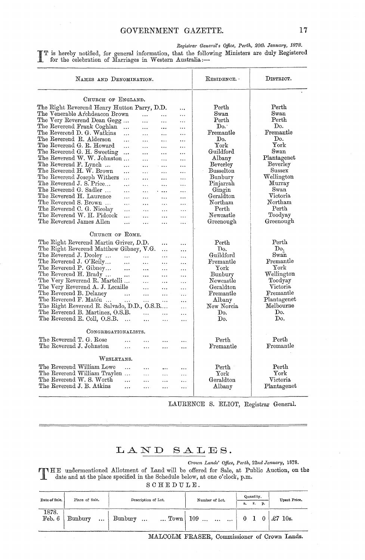Registrar General's Office, Perth, 20th January, 1878. T is hereby notified, for general information, that the following Ministers are duly Registered for the celebration of Marriages in Western Australia:-

| NAMES AND DENOMINATION.                     | $\texttt{ResponseNCE.}$ | DISTRICT.                |           |                  |                     |
|---------------------------------------------|-------------------------|--------------------------|-----------|------------------|---------------------|
| CHURCH OF ENGLAND.                          |                         |                          |           |                  |                     |
| The Right Reverend Henry Hutton Parry, D.D. |                         |                          |           | Perth            | Perth               |
| The Venerable Archdeacon Brown              | .                       |                          |           | $S$ wan          | $_{\rm{Swan}}$      |
| The Very Reverend Dean Gegg                 |                         | .                        |           | $\rm Perth$      | $\rm Perth$         |
| The Reverend Frank Coghlan<br>$\ddotsc$     | .                       |                          | $\ddotsc$ | Do.              | Do.                 |
| The Reverend D. G. Watkins                  | $\cdots$                | $\cdots$                 | $\ddotsc$ | Fremantle        | Fremantle           |
| .<br>The Reverend R. Alderson               | $\ddotsc$               | .                        |           | Do.              | Do.                 |
| $\ddotsc$<br>The Reverend G. R. Howard      | $\cdots$                | .                        |           | ${\rm York}$     | York                |
| .                                           | .                       | .                        |           | Guildford        | Swan                |
| The Reverend G. H. Sweeting<br>$\ddotsc$    | $\cdots$                | .                        |           |                  |                     |
| The Reverend W. W. Johnston                 | $\ddotsc$               | $\cdots$                 | .         | Albany           | Plantagenet         |
| The Reverend F. Lynch<br>$\ddotsc$          | $\ddotsc$               | $\ddotsc$                | .         | Beverley         | Beverley            |
| The Reverend H. W. Brown<br>$\ddotsc$       | $\ddotsc$               | $\ddotsc$                |           | Busselton        | $_{\rm Sussex}$     |
| The Reverend Joseph Withers<br>$\ldots$     | .                       |                          | .         | Bunbury          | Wellington          |
| The Reverend J. S. Price<br>$\ldots$        | .                       |                          |           | Pinjarrah        | Murray              |
| The Reverend G. Sadler<br>$\cdots$          | $\ddotsc$               | $\ddotsc$                | .         | Gingin           | Swan                |
| The Reverend H. Laurence<br>$\ddotsc$       | $\ddotsc$               | $\ddotsc$                | .         | Geraldton        | $\rm Victoria$      |
| The Reverend S. Brown<br>$\cdots$           | .                       | $\ddotsc$                | .         | Northam          | ${\rm Northam}$     |
| The Reverend C. G. Nicolay<br>$\ddotsc$     | .                       | .                        | $\ddotsc$ | Perth            | Perth               |
| The Reverend W. H. Pidcock<br>.             | .                       | .                        | .         | Newcastle        | Toodyay             |
| The Reverend James Allen<br>$\ddotsc$       | $\ddotsc$               | $\ddotsc$                | .         | Greenough        | Greenough           |
| CHURCH OF ROME.                             |                         |                          |           |                  |                     |
| The Right Reverend Martin Griver, D.D.      |                         |                          |           | Perth            | Perth               |
| The Right Reverend Matthew Gibney, V.G.     |                         | $\cdots$                 | $\ddotsc$ | Do.              | Do.                 |
| The Reverend J. Dooley                      |                         | $\ldots$                 | $\ddotsc$ | Guildford        | Swan                |
| $\ddotsc$<br>The Reverend J. O'Reily        | .                       | $\ddotsc$                | $\cdots$  | Fremantle        | Fremantle           |
| $\ddotsc$<br>The Reverend P. Gibney         | $\ddotsc$               | .                        | .         | ${\rm York}$     | ${\rm York}$        |
| $\ddotsc$                                   | $\ddotsc$               | .                        | $\ddotsc$ | Bunbury          | Wellington          |
| The Reverend H. Brady<br>$\ldots$           | .                       | $\ddotsc$                | $\ddotsc$ |                  |                     |
| The Very Reverend R. Martelli               | $\cdots$                | .                        | .         | Newcastle        | Toodyay<br>Victoria |
| The Very Reverend A. J. Lecaille            | $\ddotsc$               | $\ddotsc$                | $\ddots$  | Geraldton        |                     |
| The Reverend B. Delaney<br>$\sim$ $\sim$    | $\ddotsc$               | $\ddotsc$                | $\ddotsc$ | $\rm{Fremantle}$ | Fremantle           |
| The Reverend F. Matéu<br>$\ddotsc$          | $\ldots$                | $\cdots$                 | $\ddotsc$ | Albany           | Plantagenet         |
| The Right Reverend R. Salvado, D.D., O.S.B  |                         |                          | .         | New Norcia       | Melbourne           |
| The Reverend B. Martinez, O.S.B.            | $\ddotsc$               | .                        | .         | Do.              | Do.                 |
| The Reverend E. Coll, O.S.B.<br>$\ddotsc$   |                         | .                        | $\ddotsc$ | Do.              | Do.                 |
| CONGREGATIONALISTS.                         |                         |                          |           |                  |                     |
| The Reverend T. G. Rose                     | .                       |                          |           | Perth            | Perth               |
| The Reverend J. Johnston<br>$\cdots$        | $\ddotsc$               | .                        | .         | $\rm{Fremantle}$ | Fremantle           |
|                                             |                         |                          |           |                  |                     |
| ${\rm W}_{\rm ESLEYANS.}$                   |                         |                          |           |                  |                     |
| The Reverend William Lowe<br>$\ddotsc$      | $\ddotsc$               | $\ldots$                 |           | $\mathrm{Perth}$ | Perth               |
| The Reverend William Traylen                | $\ddotsc$               | $\overline{\phantom{a}}$ | .         | ${\rm York}$     | ${\rm York}$        |
| The Reverend W. S. Worth<br>$\ddotsc$       | $\cdots$                | $\ddotsc$                | $\ddotsc$ | Geraldton        | Victoria            |
| The Reverend J. B. Atkins<br>$\ddotsc$      | $\ddotsc$               | .                        | $\ddotsc$ | Albany           | Plantagenet         |
|                                             |                         |                          |           |                  |                     |

LAURENCE S. ELIOT, Registrar General.

## LAND SALES.

Crown Lands' Office, Perth, 22nd January, 1878.

TIME undermentioned Allotment of Land will be offered for Sale, at Public Auction, on the<br>date and at the place specified in the Schedule below at one o'clock n m

 $S C H E D U L E.$ 

| Date of Sale.   | Place of Sale.       | Description of Lot.                   | Number of Lot. | Quantity.<br>p.<br>r.<br>a. |  | Upset Price.          |  |
|-----------------|----------------------|---------------------------------------|----------------|-----------------------------|--|-----------------------|--|
| 1878.<br>Feb. 6 | Bunbury<br>$\ddotsc$ | Bunbury<br>$\ldots$ Town<br>$\ddotsc$ | $109$          |                             |  | £7<br>10 <sub>s</sub> |  |

MALCOLM FRASER, Commissioner of Crown Lands.